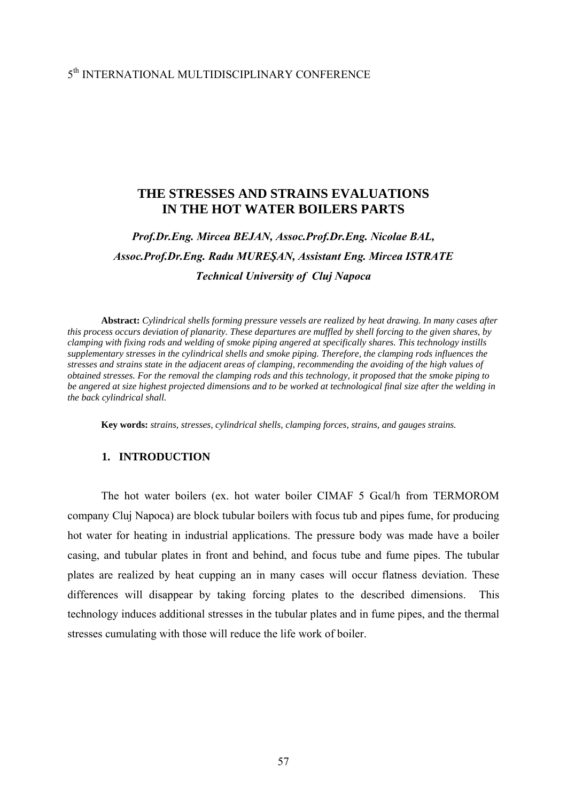# 5th INTERNATIONAL MULTIDISCIPLINARY CONFERENCE

## **THE STRESSES AND STRAINS EVALUATIONS IN THE HOT WATER BOILERS PARTS**

# *Prof.Dr.Eng. Mircea BEJAN, Assoc.Prof.Dr.Eng. Nicolae BAL, Assoc.Prof.Dr.Eng. Radu MUREŞAN, Assistant Eng. Mircea ISTRATE Technical University of Cluj Napoca*

**Abstract:** *Cylindrical shells forming pressure vessels are realized by heat drawing. In many cases after this process occurs deviation of planarity. These departures are muffled by shell forcing to the given shares, by clamping with fixing rods and welding of smoke piping angered at specifically shares. This technology instills supplementary stresses in the cylindrical shells and smoke piping. Therefore, the clamping rods influences the stresses and strains state in the adjacent areas of clamping, recommending the avoiding of the high values of obtained stresses. For the removal the clamping rods and this technology, it proposed that the smoke piping to be angered at size highest projected dimensions and to be worked at technological final size after the welding in the back cylindrical shall.* 

**Key words:** *strains, stresses, cylindrical shells, clamping forces, strains, and gauges strains.* 

### **1. INTRODUCTION**

The hot water boilers (ex. hot water boiler CIMAF 5 Gcal/h from TERMOROM company Cluj Napoca) are block tubular boilers with focus tub and pipes fume, for producing hot water for heating in industrial applications. The pressure body was made have a boiler casing, and tubular plates in front and behind, and focus tube and fume pipes. The tubular plates are realized by heat cupping an in many cases will occur flatness deviation. These differences will disappear by taking forcing plates to the described dimensions. This technology induces additional stresses in the tubular plates and in fume pipes, and the thermal stresses cumulating with those will reduce the life work of boiler.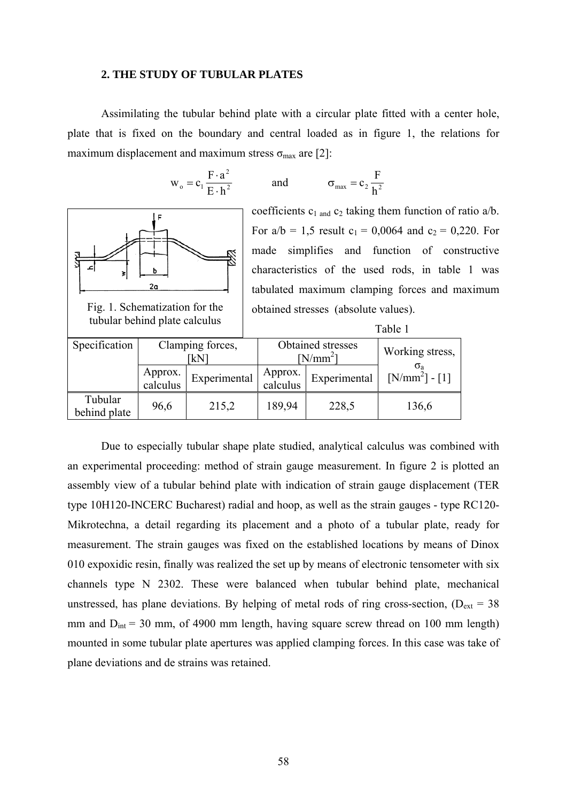#### **2. THE STUDY OF TUBULAR PLATES**

Assimilating the tubular behind plate with a circular plate fitted with a center hole, plate that is fixed on the boundary and central loaded as in figure 1, the relations for maximum displacement and maximum stress  $\sigma_{\text{max}}$  are [2]:

$$
w_o = c_1 \frac{F \cdot a^2}{E \cdot h^2}
$$
 and  $\sigma_{max} = c_2 \frac{F}{h^2}$ 



coefficients  $c_1$  and  $c_2$  taking them function of ratio a/b. For  $a/b = 1,5$  result  $c_1 = 0,0064$  and  $c_2 = 0,220$ . For made simplifies and function of constructive characteristics of the used rods, in table 1 was tabulated maximum clamping forces and maximum obtained stresses (absolute values).

Table 1

|                         |                         |              | Taviv T                         |                 |                  |  |  |  |
|-------------------------|-------------------------|--------------|---------------------------------|-----------------|------------------|--|--|--|
| Specification           | Clamping forces,<br>ſkN |              | Obtained stresses<br>$[N/mm^2]$ | Working stress, |                  |  |  |  |
|                         | Approx.<br>calculus     | Experimental | Approx.<br>calculus             | Experimental    | $[N/mm^2] - [1]$ |  |  |  |
| Tubular<br>behind plate | 96,6                    | 215,2        | 189,94                          | 228,5           | 136,6            |  |  |  |

Due to especially tubular shape plate studied, analytical calculus was combined with an experimental proceeding: method of strain gauge measurement. In figure 2 is plotted an assembly view of a tubular behind plate with indication of strain gauge displacement (TER type 10H120-INCERC Bucharest) radial and hoop, as well as the strain gauges - type RC120- Mikrotechna, a detail regarding its placement and a photo of a tubular plate, ready for measurement. The strain gauges was fixed on the established locations by means of Dinox 010 expoxidic resin, finally was realized the set up by means of electronic tensometer with six channels type N 2302. These were balanced when tubular behind plate, mechanical unstressed, has plane deviations. By helping of metal rods of ring cross-section,  $(D_{ext} = 38$ mm and  $D_{int} = 30$  mm, of 4900 mm length, having square screw thread on 100 mm length) mounted in some tubular plate apertures was applied clamping forces. In this case was take of plane deviations and de strains was retained.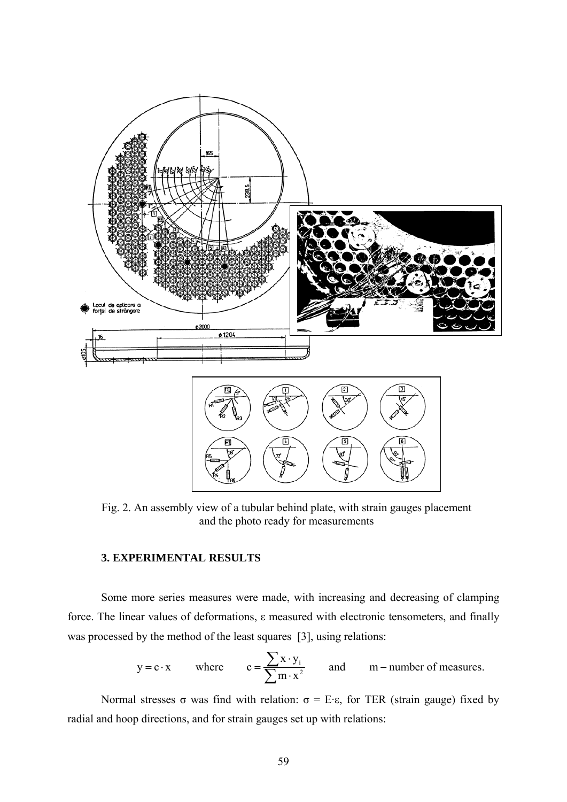

Fig. 2. An assembly view of a tubular behind plate, with strain gauges placement and the photo ready for measurements

## **3. EXPERIMENTAL RESULTS**

Some more series measures were made, with increasing and decreasing of clamping force. The linear values of deformations, ε measured with electronic tensometers, and finally was processed by the method of the least squares [3], using relations:

$$
y = c \cdot x
$$
 where  $c = \frac{\sum x \cdot y_i}{\sum m \cdot x^2}$  and  $m$ -number of measures.

Normal stresses σ was find with relation:  $σ = E·ε$ , for TER (strain gauge) fixed by radial and hoop directions, and for strain gauges set up with relations: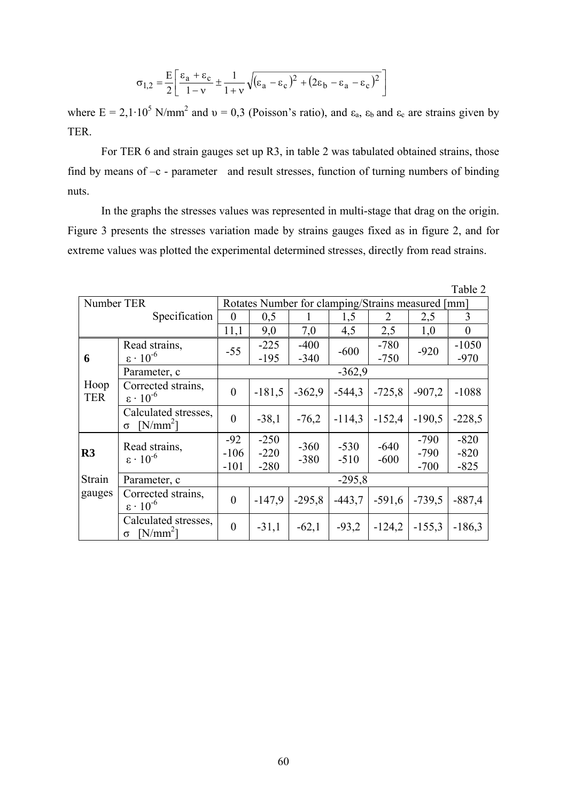$$
\sigma_{1,2} = \frac{E}{2} \left[ \frac{\varepsilon_a + \varepsilon_c}{1 - v} \pm \frac{1}{1 + v} \sqrt{(\varepsilon_a - \varepsilon_c)^2 + (2\varepsilon_b - \varepsilon_a - \varepsilon_c)^2} \right]
$$

where  $E = 2,1 \cdot 10^5$  N/mm<sup>2</sup> and  $v = 0,3$  (Poisson's ratio), and  $\varepsilon_a$ ,  $\varepsilon_b$  and  $\varepsilon_c$  are strains given by TER.

For TER 6 and strain gauges set up R3, in table 2 was tabulated obtained strains, those find by means of –c - parameter and result stresses, function of turning numbers of binding nuts.

In the graphs the stresses values was represented in multi-stage that drag on the origin. Figure 3 presents the stresses variation made by strains gauges fixed as in figure 2, and for extreme values was plotted the experimental determined stresses, directly from read strains.

|                         |                                                |                                                   |                            |                  |                  |                  |                            | Table 2                    |  |  |
|-------------------------|------------------------------------------------|---------------------------------------------------|----------------------------|------------------|------------------|------------------|----------------------------|----------------------------|--|--|
| Number TER              |                                                | Rotates Number for clamping/Strains measured [mm] |                            |                  |                  |                  |                            |                            |  |  |
| Specification           |                                                | $\theta$                                          | 0,5                        | 1                | 1,5              | 2                | 2,5                        | 3                          |  |  |
|                         |                                                | 11,1                                              | 9,0                        | 7,0              | 4,5              | 2,5              | 1,0                        | $\theta$                   |  |  |
| 6<br>Hoop<br><b>TER</b> | Read strains,<br>$\epsilon \cdot 10^{-6}$      | $-55$                                             | $-225$<br>$-195$           | $-400$<br>$-340$ | $-600$           | $-780$<br>$-750$ | $-920$                     | $-1050$<br>$-970$          |  |  |
|                         | Parameter, c                                   | $-362,9$                                          |                            |                  |                  |                  |                            |                            |  |  |
|                         | Corrected strains,<br>$\epsilon \cdot 10^{-6}$ | $\theta$                                          | $-181,5$                   | $-362.9$         | $-544,3$         | $-725,8$         | $-907,2$                   | $-1088$                    |  |  |
|                         | Calculated stresses,<br>$[N/mm^2]$<br>$\sigma$ | $\theta$                                          | $-38,1$                    | $-76,2$          | $-114,3$         | $-152,4$         | $-190,5$                   | $-228,5$                   |  |  |
| R <sub>3</sub>          | Read strains,<br>$\epsilon \cdot 10^{-6}$      | $-92$<br>$-106$<br>$-101$                         | $-250$<br>$-220$<br>$-280$ | $-360$<br>$-380$ | $-530$<br>$-510$ | $-640$<br>$-600$ | $-790$<br>$-790$<br>$-700$ | $-820$<br>$-820$<br>$-825$ |  |  |
| Strain                  | Parameter, c                                   | $-295,8$                                          |                            |                  |                  |                  |                            |                            |  |  |
| gauges                  | Corrected strains,<br>$\epsilon \cdot 10^{-6}$ | $\theta$                                          | $-147,9$                   | $-295,8$         | $-443,7$         | $-591,6$         | $-739.5$                   | $-887,4$                   |  |  |
|                         | Calculated stresses,<br>$[N/mm^2]$<br>$\sigma$ | $\theta$                                          | $-31,1$                    | $-62,1$          | $-93,2$          | $-124,2$         | $-155,3$                   | $-186,3$                   |  |  |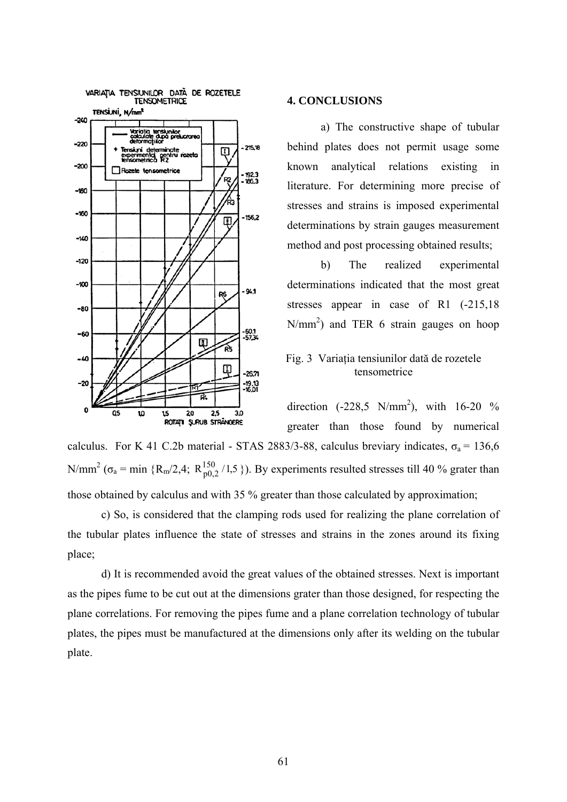

#### **4. CONCLUSIONS**

a) The constructive shape of tubular behind plates does not permit usage some known analytical relations existing in literature. For determining more precise of stresses and strains is imposed experimental determinations by strain gauges measurement method and post processing obtained results;

b) The realized experimental determinations indicated that the most great stresses appear in case of R1 (-215,18)  $N/mm<sup>2</sup>$ ) and TER 6 strain gauges on hoop

## Fig. 3 Variaţia tensiunilor dată de rozetele tensometrice

direction  $(-228.5 \text{ N/mm}^2)$ , with  $16-20$  % greater than those found by numerical calculus. For K 41 C.2b material - STAS 2883/3-88, calculus breviary indicates,  $\sigma_a$  = 136,6 N/mm<sup>2</sup> ( $\sigma_a$  = min {R<sub>m</sub>/2,4; R<sub>p0,2</sub>/1,5}). By experiments resulted stresses till 40 % grater than

those obtained by calculus and with 35 % greater than those calculated by approximation;

c) So, is considered that the clamping rods used for realizing the plane correlation of the tubular plates influence the state of stresses and strains in the zones around its fixing place;

d) It is recommended avoid the great values of the obtained stresses. Next is important as the pipes fume to be cut out at the dimensions grater than those designed, for respecting the plane correlations. For removing the pipes fume and a plane correlation technology of tubular plates, the pipes must be manufactured at the dimensions only after its welding on the tubular plate.